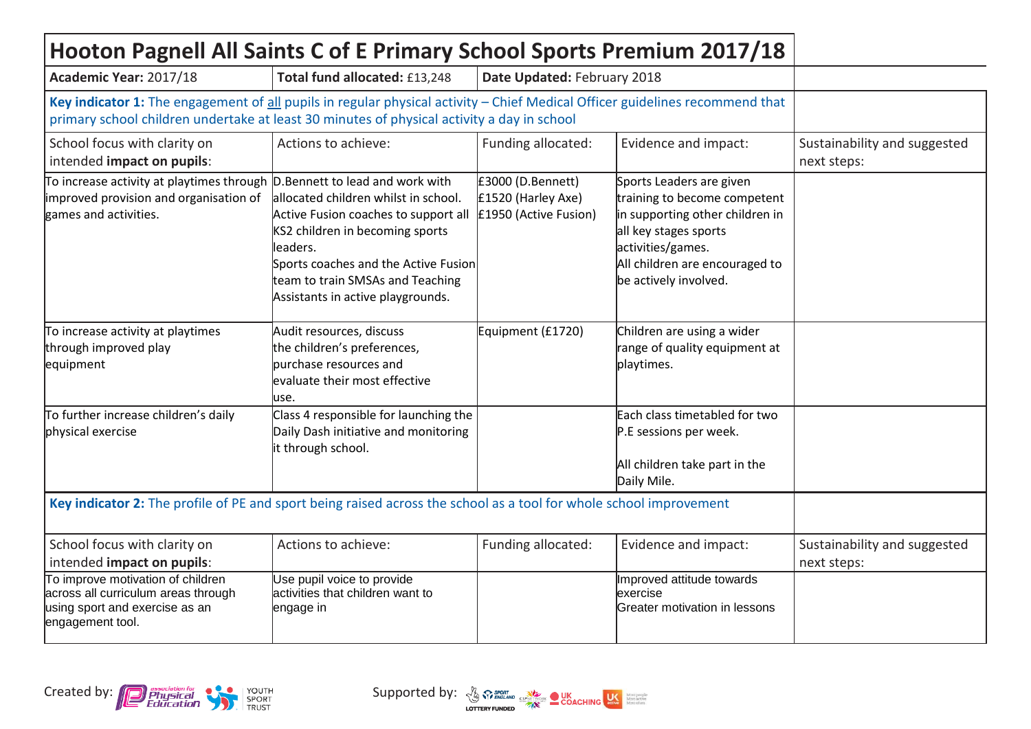| Hooton Pagnell All Saints C of E Primary School Sports Premium 2017/18                                                                                                                                                     |                                                                                                                                                                                                                                              |                                                                  |                                                                                                                                                                                                      |                                             |
|----------------------------------------------------------------------------------------------------------------------------------------------------------------------------------------------------------------------------|----------------------------------------------------------------------------------------------------------------------------------------------------------------------------------------------------------------------------------------------|------------------------------------------------------------------|------------------------------------------------------------------------------------------------------------------------------------------------------------------------------------------------------|---------------------------------------------|
| Academic Year: 2017/18                                                                                                                                                                                                     | Total fund allocated: £13,248                                                                                                                                                                                                                | Date Updated: February 2018                                      |                                                                                                                                                                                                      |                                             |
| Key indicator 1: The engagement of all pupils in regular physical activity - Chief Medical Officer guidelines recommend that<br>primary school children undertake at least 30 minutes of physical activity a day in school |                                                                                                                                                                                                                                              |                                                                  |                                                                                                                                                                                                      |                                             |
| School focus with clarity on<br>intended impact on pupils:                                                                                                                                                                 | Actions to achieve:                                                                                                                                                                                                                          | Funding allocated:                                               | Evidence and impact:                                                                                                                                                                                 | Sustainability and suggested<br>next steps: |
| $\uparrow$ To increase activity at playtimes through D. Bennett to lead and work with<br>improved provision and organisation of<br>games and activities.                                                                   | allocated children whilst in school.<br>Active Fusion coaches to support all<br>KS2 children in becoming sports<br>leaders.<br>Sports coaches and the Active Fusion<br>team to train SMSAs and Teaching<br>Assistants in active playgrounds. | £3000 (D.Bennett)<br>£1520 (Harley Axe)<br>£1950 (Active Fusion) | Sports Leaders are given<br>training to become competent<br>in supporting other children in<br>all key stages sports<br>activities/games.<br>All children are encouraged to<br>be actively involved. |                                             |
| To increase activity at playtimes<br>through improved play<br>equipment                                                                                                                                                    | Audit resources, discuss<br>the children's preferences,<br>purchase resources and<br>evaluate their most effective<br>luse.                                                                                                                  | Equipment (£1720)                                                | Children are using a wider<br>range of quality equipment at<br>playtimes.                                                                                                                            |                                             |
| To further increase children's daily<br>physical exercise                                                                                                                                                                  | Class 4 responsible for launching the<br>Daily Dash initiative and monitoring<br>it through school.                                                                                                                                          |                                                                  | Each class timetabled for two<br>P.E sessions per week.<br>All children take part in the<br>Daily Mile.                                                                                              |                                             |
| Key indicator 2: The profile of PE and sport being raised across the school as a tool for whole school improvement                                                                                                         |                                                                                                                                                                                                                                              |                                                                  |                                                                                                                                                                                                      |                                             |
| School focus with clarity on<br>intended impact on pupils:                                                                                                                                                                 | Actions to achieve:                                                                                                                                                                                                                          | Funding allocated:                                               | Evidence and impact:                                                                                                                                                                                 | Sustainability and suggested<br>next steps: |
| To improve motivation of children<br>across all curriculum areas through<br>using sport and exercise as an<br>engagement tool.                                                                                             | Use pupil voice to provide<br>activities that children want to<br>engage in                                                                                                                                                                  |                                                                  | Improved attitude towards<br>exercise<br>Greater motivation in lessons                                                                                                                               |                                             |



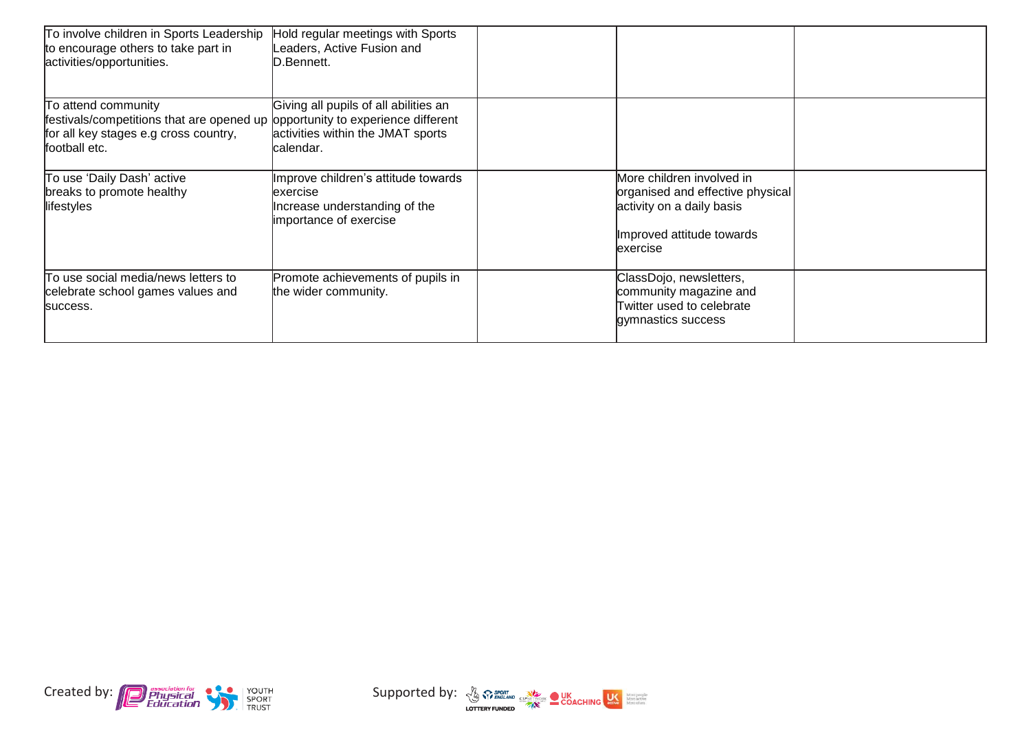| To involve children in Sports Leadership<br>to encourage others to take part in<br>activities/opportunities.                                                   | Hold regular meetings with Sports<br>eaders, Active Fusion and<br>D.Bennett.                                |                                                                                                                                      |  |
|----------------------------------------------------------------------------------------------------------------------------------------------------------------|-------------------------------------------------------------------------------------------------------------|--------------------------------------------------------------------------------------------------------------------------------------|--|
| To attend community<br>festivals/competitions that are opened up opportunity to experience different<br>for all key stages e.g cross country,<br>football etc. | Giving all pupils of all abilities an<br>activities within the JMAT sports<br>lcalendar.                    |                                                                                                                                      |  |
| To use 'Daily Dash' active<br>breaks to promote healthy<br>lifestyles                                                                                          | Improve children's attitude towards<br>lexercise<br>Increase understanding of the<br>importance of exercise | More children involved in<br>organised and effective physical<br>activity on a daily basis<br>Improved attitude towards<br>lexercise |  |
| To use social media/news letters to<br>celebrate school games values and<br>success.                                                                           | Promote achievements of pupils in<br>the wider community.                                                   | ClassDojo, newsletters,<br>community magazine and<br>Twitter used to celebrate<br>gymnastics success                                 |  |



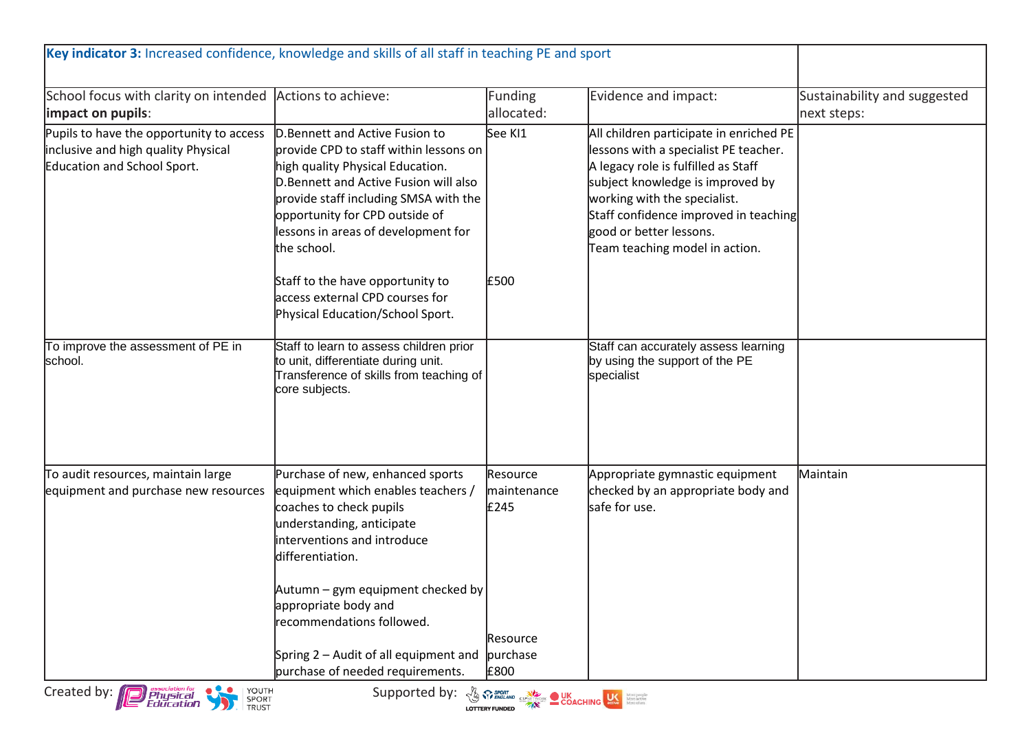| Key indicator 3: Increased confidence, knowledge and skills of all staff in teaching PE and sport                                                                                                                                                                                                                                                                                                           |                                                                                                                                                                                                                                                                                          |                                 |                                                                                                                                                                                                                                                                                                   |                                             |
|-------------------------------------------------------------------------------------------------------------------------------------------------------------------------------------------------------------------------------------------------------------------------------------------------------------------------------------------------------------------------------------------------------------|------------------------------------------------------------------------------------------------------------------------------------------------------------------------------------------------------------------------------------------------------------------------------------------|---------------------------------|---------------------------------------------------------------------------------------------------------------------------------------------------------------------------------------------------------------------------------------------------------------------------------------------------|---------------------------------------------|
| School focus with clarity on intended Actions to achieve:<br>limpact on pupils:                                                                                                                                                                                                                                                                                                                             |                                                                                                                                                                                                                                                                                          | Funding<br>allocated:           | Evidence and impact:                                                                                                                                                                                                                                                                              | Sustainability and suggested<br>next steps: |
| Pupils to have the opportunity to access<br>inclusive and high quality Physical<br>Education and School Sport.                                                                                                                                                                                                                                                                                              | D. Bennett and Active Fusion to<br>provide CPD to staff within lessons on<br>high quality Physical Education.<br>D. Bennett and Active Fusion will also<br>provide staff including SMSA with the<br>opportunity for CPD outside of<br>lessons in areas of development for<br>the school. | See KI1                         | All children participate in enriched PE<br>lessons with a specialist PE teacher.<br>A legacy role is fulfilled as Staff<br>subject knowledge is improved by<br>working with the specialist.<br>Staff confidence improved in teaching<br>good or better lessons.<br>Team teaching model in action. |                                             |
|                                                                                                                                                                                                                                                                                                                                                                                                             | Staff to the have opportunity to<br>access external CPD courses for<br>Physical Education/School Sport.                                                                                                                                                                                  | £500                            |                                                                                                                                                                                                                                                                                                   |                                             |
| To improve the assessment of PE in<br>school.                                                                                                                                                                                                                                                                                                                                                               | Staff to learn to assess children prior<br>to unit, differentiate during unit.<br>Transference of skills from teaching of<br>core subjects.                                                                                                                                              |                                 | Staff can accurately assess learning<br>by using the support of the PE<br>specialist                                                                                                                                                                                                              |                                             |
| To audit resources, maintain large<br>equipment and purchase new resources                                                                                                                                                                                                                                                                                                                                  | Purchase of new, enhanced sports<br>equipment which enables teachers /<br>coaches to check pupils<br>understanding, anticipate<br>interventions and introduce<br>differentiation.<br>Autumn – gym equipment checked by                                                                   | Resource<br>maintenance<br>£245 | Appropriate gymnastic equipment<br>checked by an appropriate body and<br>safe for use.                                                                                                                                                                                                            | Maintain                                    |
|                                                                                                                                                                                                                                                                                                                                                                                                             | appropriate body and<br>recommendations followed.<br>Spring 2 - Audit of all equipment and<br>purchase of needed requirements.                                                                                                                                                           | Resource<br>purchase<br>£800    |                                                                                                                                                                                                                                                                                                   |                                             |
| <b>P</b> Physical<br><i>Physical</i><br>Education<br>Created by:<br>  YOUTH<br>Supported by: $\frac{1}{2}$ $\frac{1}{2}$ $\frac{1}{2}$ $\frac{1}{2}$ $\frac{1}{2}$ $\frac{1}{2}$ $\frac{1}{2}$ $\frac{1}{2}$ $\frac{1}{2}$ $\frac{1}{2}$ $\frac{1}{2}$ $\frac{1}{2}$ $\frac{1}{2}$ $\frac{1}{2}$ $\frac{1}{2}$ $\frac{1}{2}$ $\frac{1}{2}$ $\frac{1}{2}$ $\frac{1}{2}$ $\frac{1}{2}$ $\frac{1}{2}$<br>SPORT |                                                                                                                                                                                                                                                                                          |                                 |                                                                                                                                                                                                                                                                                                   |                                             |



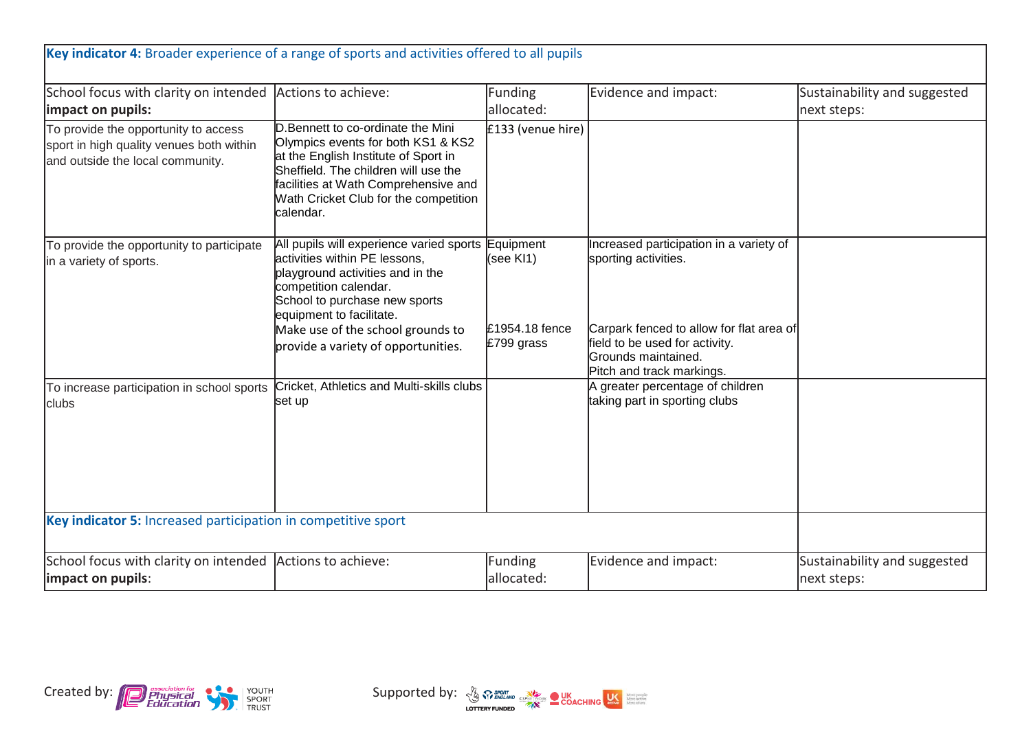| Key indicator 4: Broader experience of a range of sports and activities offered to all pupils                        |                                                                                                                                                                                                                                                                                           |                                           |                                                                                                                                                                                                   |                                             |
|----------------------------------------------------------------------------------------------------------------------|-------------------------------------------------------------------------------------------------------------------------------------------------------------------------------------------------------------------------------------------------------------------------------------------|-------------------------------------------|---------------------------------------------------------------------------------------------------------------------------------------------------------------------------------------------------|---------------------------------------------|
| School focus with clarity on intended<br>impact on pupils:                                                           | Actions to achieve:                                                                                                                                                                                                                                                                       | <b>Funding</b><br>allocated:              | Evidence and impact:                                                                                                                                                                              | Sustainability and suggested<br>next steps: |
| To provide the opportunity to access<br>sport in high quality venues both within<br>and outside the local community. | D. Bennett to co-ordinate the Mini<br>Olympics events for both KS1 & KS2<br>at the English Institute of Sport in<br>Sheffield. The children will use the<br>facilities at Wath Comprehensive and<br>Wath Cricket Club for the competition<br>calendar.                                    | £133 (venue hire)                         |                                                                                                                                                                                                   |                                             |
| To provide the opportunity to participate<br>in a variety of sports.                                                 | All pupils will experience varied sports Equipment<br>activities within PE lessons,<br>playground activities and in the<br>competition calendar.<br>School to purchase new sports<br>equipment to facilitate.<br>Make use of the school grounds to<br>provide a variety of opportunities. | (see KI1)<br>£1954.18 fence<br>£799 grass | Increased participation in a variety of<br>sporting activities.<br>Carpark fenced to allow for flat area of<br>field to be used for activity.<br>Grounds maintained.<br>Pitch and track markings. |                                             |
| To increase participation in school sports<br>clubs                                                                  | Cricket, Athletics and Multi-skills clubs<br>set up                                                                                                                                                                                                                                       |                                           | A greater percentage of children<br>taking part in sporting clubs                                                                                                                                 |                                             |
| Key indicator 5: Increased participation in competitive sport                                                        |                                                                                                                                                                                                                                                                                           |                                           |                                                                                                                                                                                                   |                                             |
| School focus with clarity on intended Actions to achieve:<br>impact on pupils:                                       |                                                                                                                                                                                                                                                                                           | <b>Funding</b><br>allocated:              | Evidence and impact:                                                                                                                                                                              | Sustainability and suggested<br>next steps: |